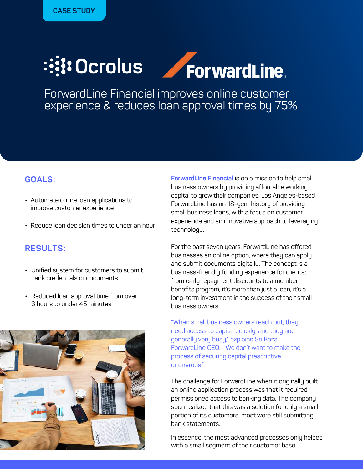## ForwardLine. **:::: Ocrolus**

ForwardLine Financial improves online customer experience & reduces loan approval times by 75%

## **GOALS:**

- Automate online loan applications to improve customer experience
- Reduce loan decision times to under an hour

## **RESULTS:**

- Unified system for customers to submit bank credentials or documents
- Reduced loan approval time from over 3 hours to under 45 minutes



**ForwardLine Financial** is on a mission to help small business owners by providing affordable working capital to grow their companies. Los Angeles-based ForwardLine has an 18-year history of providing small business loans, with a focus on customer experience and an innovative approach to leveraging technology.

For the past seven years, ForwardLine has offered businesses an online option, where they can apply and submit documents digitally. The concept is a business-friendly funding experience for clients; from early repayment discounts to a member benefits program, it's more than just a loan, it's a long-term investment in the success of their small business owners.

"When small business owners reach out, they need access to capital quickly, and they are generally very busy," explains Sri Kaza, ForwardLine CEO. "We don't want to make the process of securing capital prescriptive or onerous."

The challenge for ForwardLine when it originally built an online application process was that it required permissioned access to banking data. The company soon realized that this was a solution for only a small portion of its customers: most were still submitting bank statements.

In essence, the most advanced processes only helped with a small segment of their customer base;